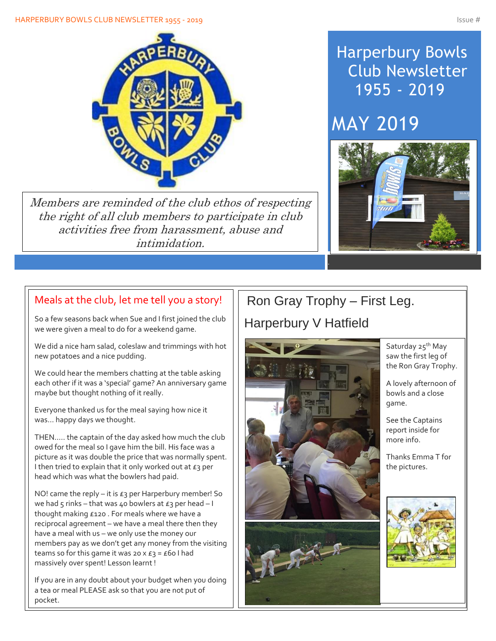

Members are reminded of the club ethos of respecting the right of all club members to participate in club activities free from harassment, abuse and intimidation.

## Harperbury Bowls Club Newsletter 1955 - 2019

# MAY 2019



## Meals at the club, let me tell you a story!

So a few seasons back when Sue and I first joined the club we were given a meal to do for a weekend game.

We did a nice ham salad, coleslaw and trimmings with hot new potatoes and a nice pudding.

We could hear the members chatting at the table asking each other if it was a 'special' game? An anniversary game maybe but thought nothing of it really.

Everyone thanked us for the meal saying how nice it was… happy days we thought.

THEN….. the captain of the day asked how much the club owed for the meal so I gave him the bill. His face was a picture as it was double the price that was normally spent. I then tried to explain that it only worked out at  $E_3$  per head which was what the bowlers had paid.

NO! came the reply – it is  $E_3$  per Harperbury member! So we had 5 rinks – that was 40 bowlers at  $\epsilon_3$  per head – I thought making £120 . For meals where we have a reciprocal agreement – we have a meal there then they have a meal with us – we only use the money our members pay as we don't get any money from the visiting teams so for this game it was 20  $\times$  £3 = £60 I had massively over spent! Lesson learnt !

If you are in any doubt about your budget when you doing a tea or meal PLEASE ask so that you are not put of pocket.

## Ron Gray Trophy – First Leg. Harperbury V Hatfield



Saturday 25<sup>th</sup> May saw the first leg of the Ron Gray Trophy.

A lovely afternoon of bowls and a close game.

See the Captains report inside for more info.

Thanks Emma T for the pictures.

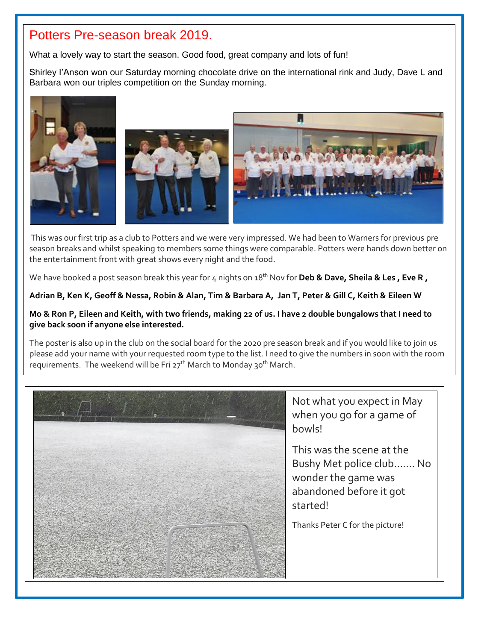### Potters Pre-season break 2019.

Í

What a lovely way to start the season. Good food, great company and lots of fun!

Shirley I'Anson won our Saturday morning chocolate drive on the international rink and Judy, Dave L and Barbara won our triples competition on the Sunday morning.



This was our first trip as a club to Potters and we were very impressed. We had been to Warners for previous pre season breaks and whilst speaking to members some things were comparable. Potters were hands down better on the entertainment front with great shows every night and the food.

We have booked a post season break this year for 4 nights on 18<sup>th</sup> Nov for **Deb & Dave, Sheila & Les, Eve R,** 

#### **Adrian B, Ken K, Geoff & Nessa, Robin & Alan, Tim & Barbara A, Jan T, Peter & Gill C, Keith & Eileen W**

#### **Mo & Ron P, Eileen and Keith, with two friends, making 22 of us. I have 2 double bungalows that I need to give back soon if anyone else interested.**

The poster is also up in the club on the social board for the 2020 pre season break and if you would like to join us please add your name with your requested room type to the list. I need to give the numbers in soon with the room requirements. The weekend will be Fri 27<sup>th</sup> March to Monday 30<sup>th</sup> March.

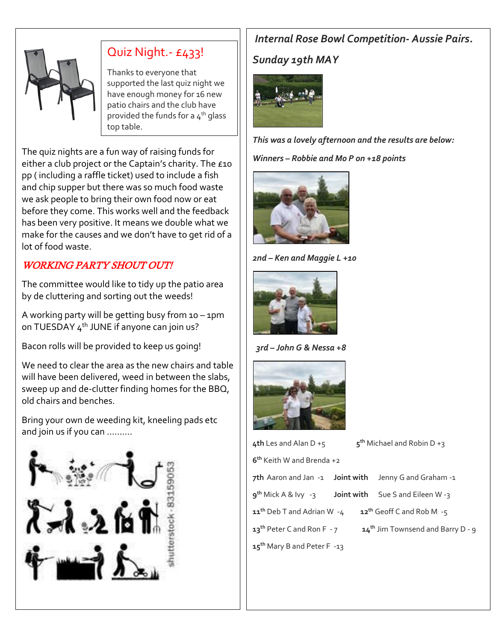

## Quiz Night.- £433!

Thanks to everyone that supported the last quiz night we have enough money for 16 new patio chairs and the club have provided the funds for a  $4<sup>th</sup>$  glass top table.

The quiz nights are a fun way of raising funds for either a club project or the Captain's charity. The £10 pp ( including a raffle ticket) used to include a fish and chip supper but there was so much food waste we ask people to bring their own food now or eat before they come. This works well and the feedback has been very positive. It means we double what we make for the causes and we don't have to get rid of a lot of food waste.

## WORKING PARTY SHOUT OUT!

The committee would like to tidy up the patio area by de cluttering and sorting out the weeds!

A working party will be getting busy from 10 – 1pm on TUESDAY  $4^{th}$  JUNE if anyone can join us?

Bacon rolls will be provided to keep us going!

We need to clear the area as the new chairs and table will have been delivered, weed in between the slabs, sweep up and de-clutter finding homes for the BBQ, old chairs and benches.

Bring your own de weeding kit, kneeling pads etc and join us if you can ……….



## *Internal Rose Bowl Competition- Aussie Pairs.*

### *Sunday 19th MAY*



*This was a lovely afternoon and the results are below: Winners – Robbie and Mo P on +18 points* 



*2nd – Ken and Maggie L +10* 



 *3rd – John G & Nessa +8*



| 4th Les and Alan $D + 5$                                           |  | $5^{\text{th}}$ Michael and Robin D +3 |
|--------------------------------------------------------------------|--|----------------------------------------|
| 6 <sup>th</sup> Keith W and Brenda +2                              |  |                                        |
| 7th Aaron and Jan -1 Joint with                                    |  | Jenny G and Graham -1                  |
| $gth Mick A & Ivy -3$ <b>Joint with</b> Sue S and Eileen W -3      |  |                                        |
| $11th$ Deb T and Adrian W $-4$<br>$12^{th}$ Geoff C and Rob M $-5$ |  |                                        |
| 13 <sup>th</sup> Peter C and Ron F - 7                             |  | $14th$ Jim Townsend and Barry D - 9    |
| 15 <sup>th</sup> Mary B and Peter F -13                            |  |                                        |